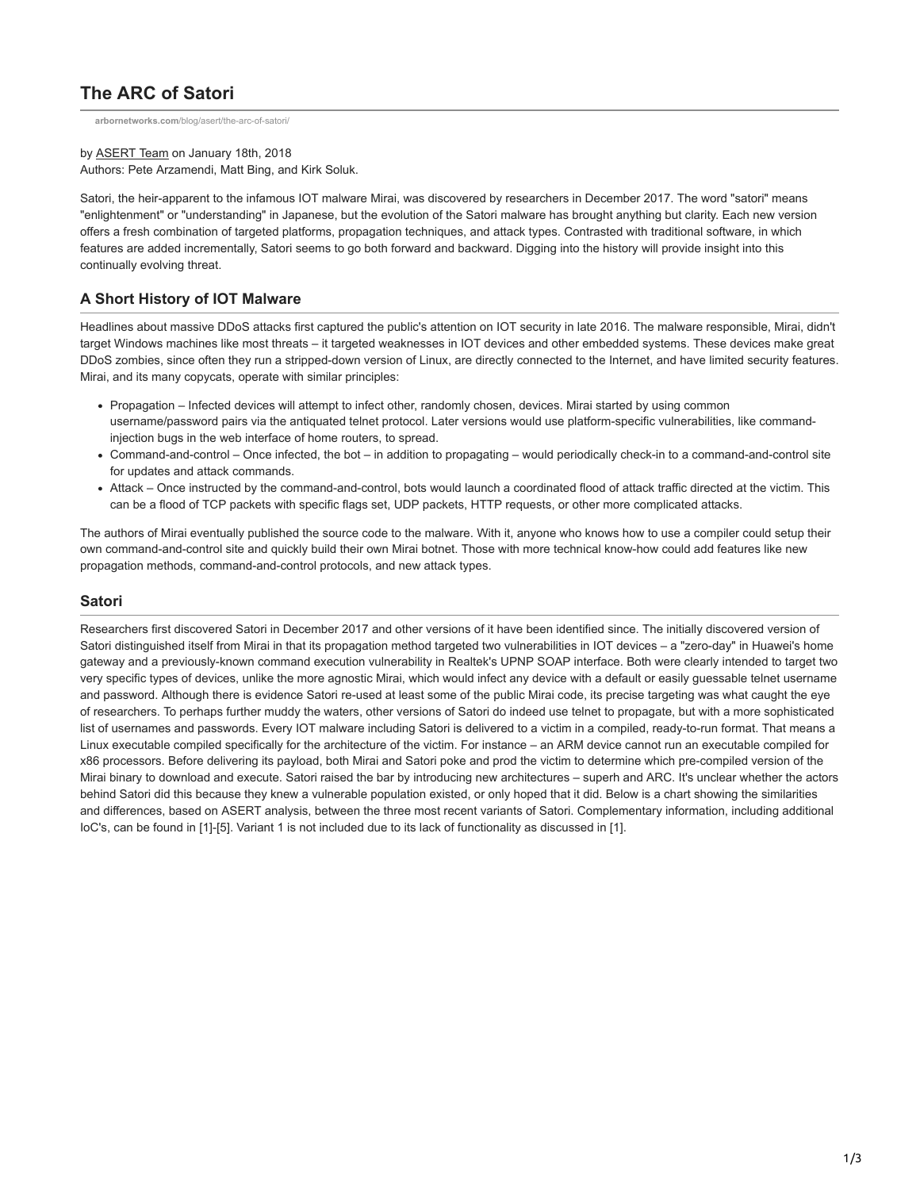# **The ARC of Satori**

**arbornetworks.com**[/blog/asert/the-arc-of-satori/](https://www.arbornetworks.com/blog/asert/the-arc-of-satori/)

by [ASERT Team](https://www.netscout.com/blog/asert/asert-team) on January 18th, 2018 Authors: Pete Arzamendi, Matt Bing, and Kirk Soluk.

Satori, the heir-apparent to the infamous IOT malware Mirai, was discovered by researchers in December 2017. The word "satori" means "enlightenment" or "understanding" in Japanese, but the evolution of the Satori malware has brought anything but clarity. Each new version offers a fresh combination of targeted platforms, propagation techniques, and attack types. Contrasted with traditional software, in which features are added incrementally, Satori seems to go both forward and backward. Digging into the history will provide insight into this continually evolving threat.

## **A Short History of IOT Malware**

Headlines about massive DDoS attacks first captured the public's attention on IOT security in late 2016. The malware responsible, Mirai, didn't target Windows machines like most threats – it targeted weaknesses in IOT devices and other embedded systems. These devices make great DDoS zombies, since often they run a stripped-down version of Linux, are directly connected to the Internet, and have limited security features. Mirai, and its many copycats, operate with similar principles:

- Propagation Infected devices will attempt to infect other, randomly chosen, devices. Mirai started by using common username/password pairs via the antiquated telnet protocol. Later versions would use platform-specific vulnerabilities, like commandinjection bugs in the web interface of home routers, to spread.
- Command-and-control Once infected, the bot in addition to propagating would periodically check-in to a command-and-control site for updates and attack commands.
- Attack Once instructed by the command-and-control, bots would launch a coordinated flood of attack traffic directed at the victim. This can be a flood of TCP packets with specific flags set, UDP packets, HTTP requests, or other more complicated attacks.

The authors of Mirai eventually published the source code to the malware. With it, anyone who knows how to use a compiler could setup their own command-and-control site and quickly build their own Mirai botnet. Those with more technical know-how could add features like new propagation methods, command-and-control protocols, and new attack types.

#### **Satori**

Researchers first discovered Satori in December 2017 and other versions of it have been identified since. The initially discovered version of Satori distinguished itself from Mirai in that its propagation method targeted two vulnerabilities in IOT devices – a "zero-day" in Huawei's home gateway and a previously-known command execution vulnerability in Realtek's UPNP SOAP interface. Both were clearly intended to target two very specific types of devices, unlike the more agnostic Mirai, which would infect any device with a default or easily guessable telnet username and password. Although there is evidence Satori re-used at least some of the public Mirai code, its precise targeting was what caught the eye of researchers. To perhaps further muddy the waters, other versions of Satori do indeed use telnet to propagate, but with a more sophisticated list of usernames and passwords. Every IOT malware including Satori is delivered to a victim in a compiled, ready-to-run format. That means a Linux executable compiled specifically for the architecture of the victim. For instance – an ARM device cannot run an executable compiled for x86 processors. Before delivering its payload, both Mirai and Satori poke and prod the victim to determine which pre-compiled version of the Mirai binary to download and execute. Satori raised the bar by introducing new architectures – superh and ARC. It's unclear whether the actors behind Satori did this because they knew a vulnerable population existed, or only hoped that it did. Below is a chart showing the similarities and differences, based on ASERT analysis, between the three most recent variants of Satori. Complementary information, including additional IoC's, can be found in [1]-[5]. Variant 1 is not included due to its lack of functionality as discussed in [1].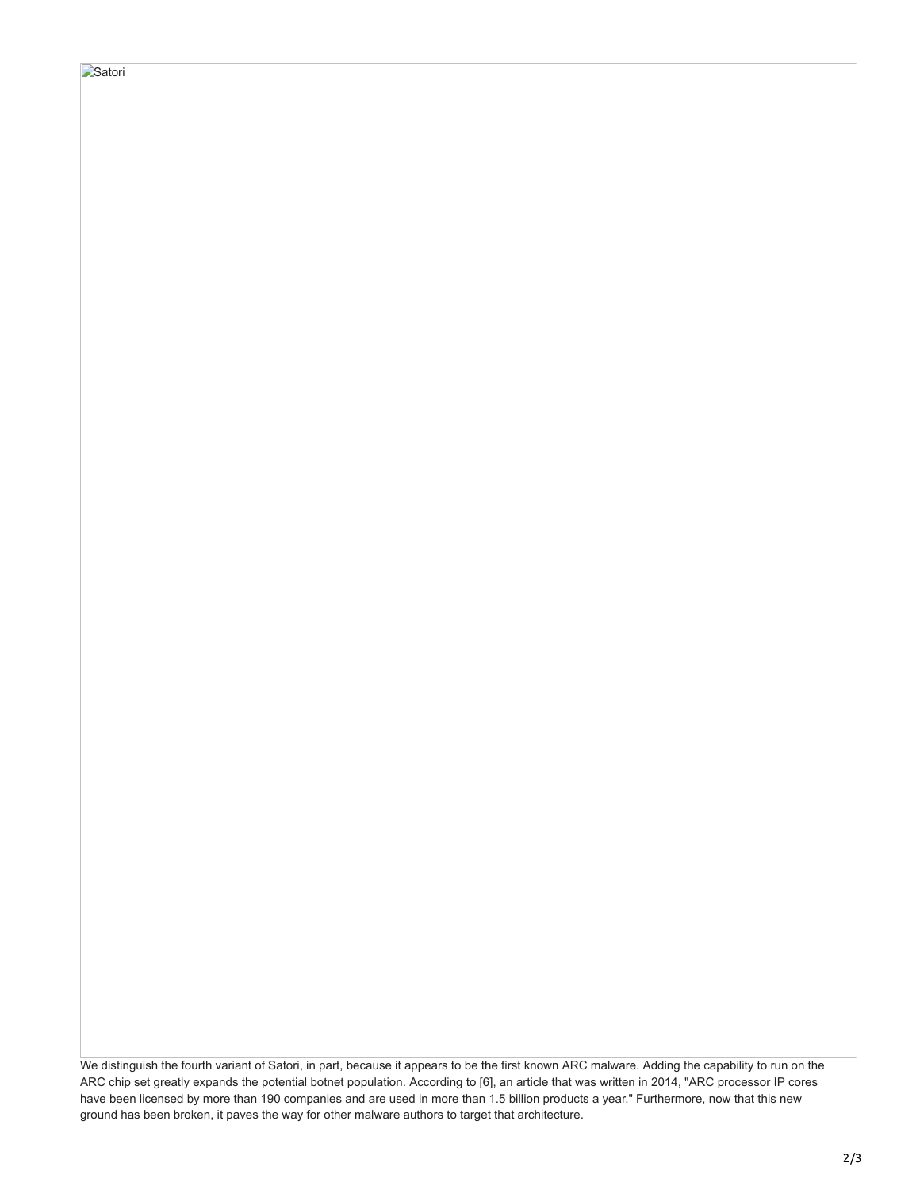# **Satori**

We distinguish the fourth variant of Satori, in part, because it appears to be the first known ARC malware. Adding the capability to run on the ARC chip set greatly expands the potential botnet population. According to [6], an article that was written in 2014, "ARC processor IP cores have been licensed by more than 190 companies and are used in more than 1.5 billion products a year." Furthermore, now that this new ground has been broken, it paves the way for other malware authors to target that architecture.